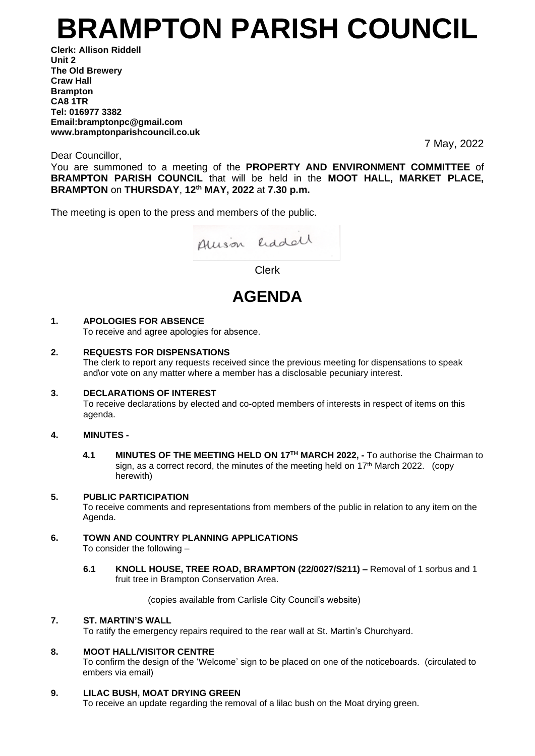# **BRAMPTON PARISH COUNCIL**

**Clerk: Allison Riddell Unit 2 The Old Brewery Craw Hall Brampton CA8 1TR Tel: 016977 3382 Email:bramptonpc@gmail.com www.bramptonparishcouncil.co.uk**

7 May, 2022

Dear Councillor,

You are summoned to a meeting of the **PROPERTY AND ENVIRONMENT COMMITTEE** of **BRAMPTON PARISH COUNCIL** that will be held in the **MOOT HALL, MARKET PLACE, BRAMPTON** on **THURSDAY**, **12 th MAY, 2022** at **7.30 p.m.**

The meeting is open to the press and members of the public.



Clerk

# **AGENDA**

# **1. APOLOGIES FOR ABSENCE**

To receive and agree apologies for absence.

# **2. REQUESTS FOR DISPENSATIONS**

The clerk to report any requests received since the previous meeting for dispensations to speak and\or vote on any matter where a member has a disclosable pecuniary interest.

# **3. DECLARATIONS OF INTEREST**

To receive declarations by elected and co-opted members of interests in respect of items on this agenda.

# **4. MINUTES -**

**4.1 MINUTES OF THE MEETING HELD ON 17<sup>TH</sup> MARCH 2022, - To authorise the Chairman to** sign, as a correct record, the minutes of the meeting held on 17<sup>th</sup> March 2022. (copy herewith)

# **5. PUBLIC PARTICIPATION**

To receive comments and representations from members of the public in relation to any item on the Agenda.

# **6. TOWN AND COUNTRY PLANNING APPLICATIONS**

To consider the following –

**6.1 KNOLL HOUSE, TREE ROAD, BRAMPTON (22/0027/S211) –** Removal of 1 sorbus and 1 fruit tree in Brampton Conservation Area.

(copies available from Carlisle City Council's website)

#### **7. ST. MARTIN'S WALL**

To ratify the emergency repairs required to the rear wall at St. Martin's Churchyard.

# **8. MOOT HALL/VISITOR CENTRE**

To confirm the design of the 'Welcome' sign to be placed on one of the noticeboards. (circulated to embers via email)

# **9. LILAC BUSH, MOAT DRYING GREEN**

To receive an update regarding the removal of a lilac bush on the Moat drying green.